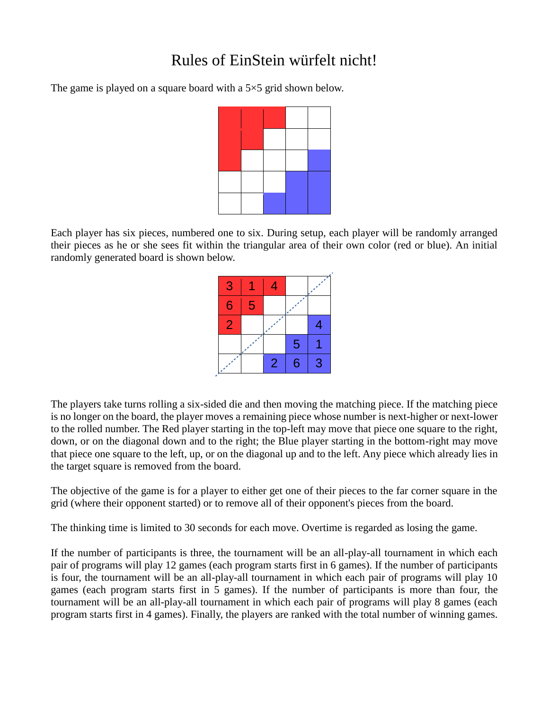## Rules of EinStein würfelt nicht!

The game is played on a square board with a 5×5 grid shown below.



Each player has six pieces, numbered one to six. During setup, each player will be randomly arranged their pieces as he or she sees fit within the triangular area of their own color (red or blue). An initial randomly generated board is shown below.

| 3 |   | 4              |   |   |
|---|---|----------------|---|---|
| 6 | 5 |                |   |   |
| 2 |   |                |   | Z |
|   |   |                | 5 |   |
|   |   | $\overline{2}$ | 6 | 3 |

The players take turns rolling a six-sided die and then moving the matching piece. If the matching piece is no longer on the board, the player moves a remaining piece whose number is next-higher or next-lower to the rolled number. The Red player starting in the top-left may move that piece one square to the right, down, or on the diagonal down and to the right; the Blue player starting in the bottom-right may move that piece one square to the left, up, or on the diagonal up and to the left. Any piece which already lies in the target square is removed from the board.

The objective of the game is for a player to either get one of their pieces to the far corner square in the grid (where their opponent started) or to remove all of their opponent's pieces from the board.

The thinking time is limited to 30 seconds for each move. Overtime is regarded as losing the game.

If the number of participants is three, the tournament will be an all-play-all tournament in which each pair of programs will play 12 games (each program starts first in 6 games). If the number of participants is four, the tournament will be an all-play-all tournament in which each pair of programs will play 10 games (each program starts first in 5 games). If the number of participants is more than four, the tournament will be an all-play-all tournament in which each pair of programs will play 8 games (each program starts first in 4 games). Finally, the players are ranked with the total number of winning games.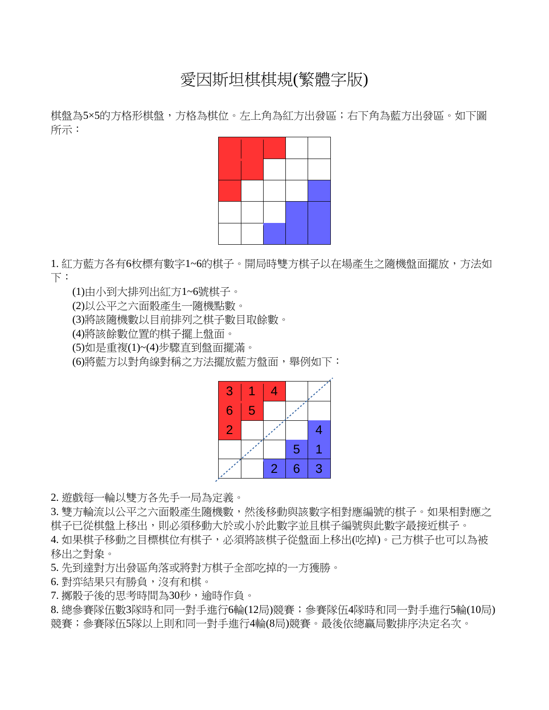## 愛因斯坦棋棋規(繁體字版)

棋盤為5×5的方格形棋盤,方格為棋位。左上角為紅方出發區;右下角為藍方出發區。如下圖 所示:



1. 紅方藍方各有6枚標有數字1~6的棋子。開局時雙方棋子以在場產生之隨機盤面擺放,方法如 下:

(1)由小到大排列出紅方1~6號棋子。

(2)以公平之六面骰產生一隨機點數。

(3)將該隨機數以目前排列之棋子數目取餘數。

(4)將該餘數位置的棋子擺上盤面。

(5)如是重複(1)~(4)步驟直到盤面擺滿。

(6)將藍方以對角線對稱之方法擺放藍方盤面,舉例如下:

| 3 |   |                |   |   |
|---|---|----------------|---|---|
| 6 | 5 |                |   |   |
| 2 |   |                |   |   |
|   |   |                | 5 |   |
|   |   | $\overline{2}$ | 6 | 3 |

2. 遊戲每一輪以雙方各先手一局為定義。

3. 雙方輪流以公平之六面骰產生隨機數,然後移動與該數字相對應編號的棋子。如果相對應之 棋子已從棋盤上移出,則必須移動大於或小於此數字並且棋子編號與此數字最接近棋子。

4. 如果棋子移動之目標棋位有棋子,必須將該棋子從盤面上移出(吃掉)。己方棋子也可以為被 移出之對象。

5. 先到達對方出發區角落或將對方棋子全部吃掉的一方獲勝。

6. 對弈結果只有勝負, 沒有和棋。

7. 擲骰子後的思考時間為30秒, 逾時作負。

8. 總參賽隊伍數3隊時和同一對手進行6輪(12局)競賽;參賽隊伍4隊時和同一對手進行5輪(10局) 競賽;參賽隊伍5隊以上則和同一對手進行4輪(8局)競賽。最後依總贏局數排序決定名次。